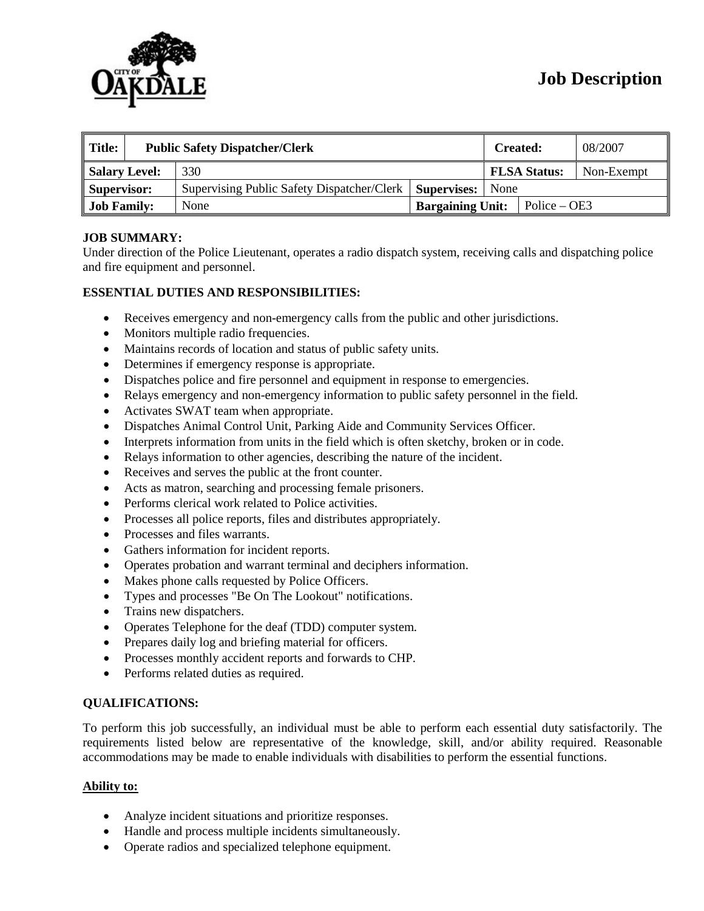

| $\parallel$ Title:<br><b>Public Safety Dispatcher/Clerk</b> |  |                                            | <b>Created:</b>         |                     | 08/2007 |                |  |
|-------------------------------------------------------------|--|--------------------------------------------|-------------------------|---------------------|---------|----------------|--|
| Salary Level:                                               |  | 330                                        |                         | <b>FLSA Status:</b> |         | Non-Exempt     |  |
| Supervisor:                                                 |  | Supervising Public Safety Dispatcher/Clerk | <b>Supervises:</b> None |                     |         |                |  |
| <b>Job Family:</b>                                          |  | None                                       | <b>Bargaining Unit:</b> |                     |         | $Police - OE3$ |  |

### **JOB SUMMARY:**

Under direction of the Police Lieutenant, operates a radio dispatch system, receiving calls and dispatching police and fire equipment and personnel.

#### **ESSENTIAL DUTIES AND RESPONSIBILITIES:**

- Receives emergency and non-emergency calls from the public and other jurisdictions.
- Monitors multiple radio frequencies.
- Maintains records of location and status of public safety units.
- Determines if emergency response is appropriate.
- Dispatches police and fire personnel and equipment in response to emergencies.
- Relays emergency and non-emergency information to public safety personnel in the field.
- Activates SWAT team when appropriate.
- Dispatches Animal Control Unit, Parking Aide and Community Services Officer.
- Interprets information from units in the field which is often sketchy, broken or in code.
- Relays information to other agencies, describing the nature of the incident.
- Receives and serves the public at the front counter.
- Acts as matron, searching and processing female prisoners.
- Performs clerical work related to Police activities.
- Processes all police reports, files and distributes appropriately.
- Processes and files warrants.
- Gathers information for incident reports.
- Operates probation and warrant terminal and deciphers information.
- Makes phone calls requested by Police Officers.
- Types and processes "Be On The Lookout" notifications.
- Trains new dispatchers.
- Operates Telephone for the deaf (TDD) computer system.
- Prepares daily log and briefing material for officers.
- Processes monthly accident reports and forwards to CHP.
- Performs related duties as required.

## **QUALIFICATIONS:**

To perform this job successfully, an individual must be able to perform each essential duty satisfactorily. The requirements listed below are representative of the knowledge, skill, and/or ability required. Reasonable accommodations may be made to enable individuals with disabilities to perform the essential functions.

#### **Ability to:**

- Analyze incident situations and prioritize responses.
- Handle and process multiple incidents simultaneously.
- Operate radios and specialized telephone equipment.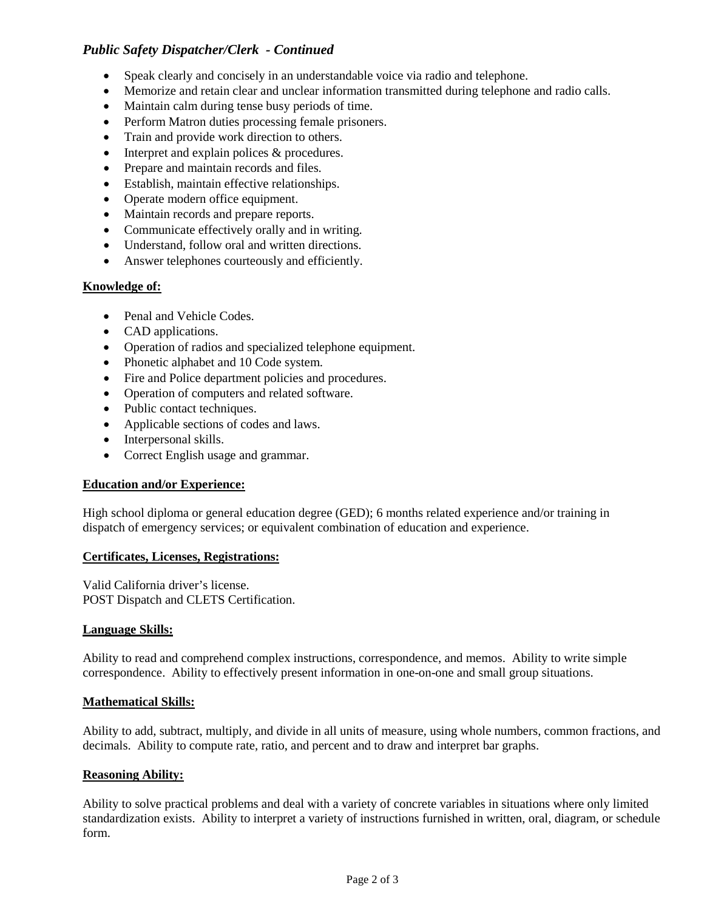# *Public Safety Dispatcher/Clerk - Continued*

- Speak clearly and concisely in an understandable voice via radio and telephone.
- Memorize and retain clear and unclear information transmitted during telephone and radio calls.
- Maintain calm during tense busy periods of time.
- Perform Matron duties processing female prisoners.
- Train and provide work direction to others.
- Interpret and explain polices & procedures.
- Prepare and maintain records and files.
- Establish, maintain effective relationships.
- Operate modern office equipment.
- Maintain records and prepare reports.
- Communicate effectively orally and in writing.
- Understand, follow oral and written directions.
- Answer telephones courteously and efficiently.

#### **Knowledge of:**

- Penal and Vehicle Codes.
- CAD applications.
- Operation of radios and specialized telephone equipment.
- Phonetic alphabet and 10 Code system.
- Fire and Police department policies and procedures.
- Operation of computers and related software.
- Public contact techniques.
- Applicable sections of codes and laws.
- Interpersonal skills.
- Correct English usage and grammar.

#### **Education and/or Experience:**

High school diploma or general education degree (GED); 6 months related experience and/or training in dispatch of emergency services; or equivalent combination of education and experience.

#### **Certificates, Licenses, Registrations:**

Valid California driver's license. POST Dispatch and CLETS Certification.

#### **Language Skills:**

Ability to read and comprehend complex instructions, correspondence, and memos. Ability to write simple correspondence. Ability to effectively present information in one-on-one and small group situations.

#### **Mathematical Skills:**

Ability to add, subtract, multiply, and divide in all units of measure, using whole numbers, common fractions, and decimals. Ability to compute rate, ratio, and percent and to draw and interpret bar graphs.

#### **Reasoning Ability:**

Ability to solve practical problems and deal with a variety of concrete variables in situations where only limited standardization exists. Ability to interpret a variety of instructions furnished in written, oral, diagram, or schedule form.